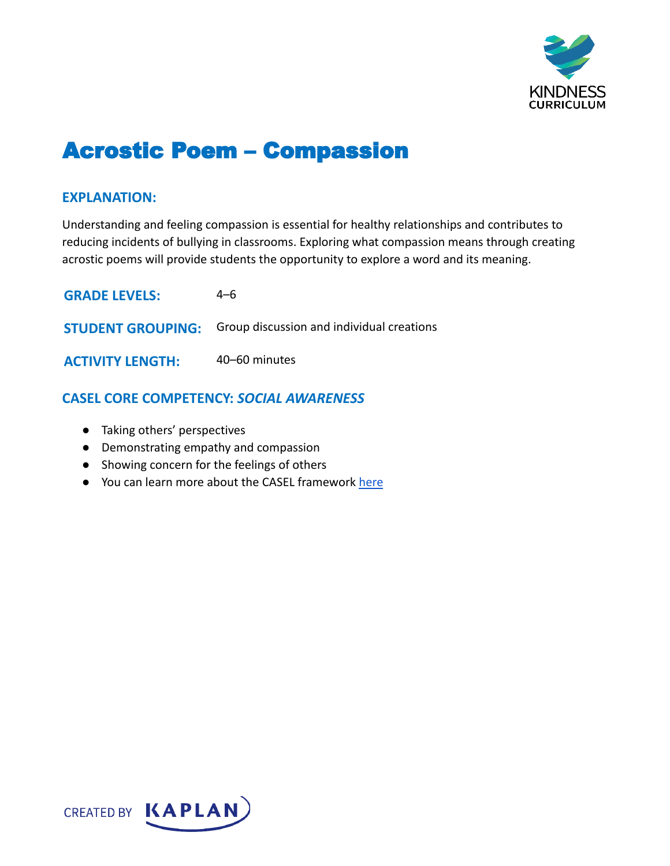

# Acrostic Poem – Compassion

## **EXPLANATION:**

Understanding and feeling compassion is essential for healthy relationships and contributes to reducing incidents of bullying in classrooms. Exploring what compassion means through creating acrostic poems will provide students the opportunity to explore a word and its meaning.

| <b>GRADE LEVELS:</b>    | 4–6                                                                |
|-------------------------|--------------------------------------------------------------------|
|                         | <b>STUDENT GROUPING:</b> Group discussion and individual creations |
| <b>ACTIVITY LENGTH:</b> | 40-60 minutes                                                      |

## **CASEL CORE COMPETENCY:** *SOCIAL AWARENESS*

- Taking others' perspectives
- Demonstrating empathy and compassion
- Showing concern for the feelings of others
- You can learn more about the CASEL framework [here](https://casel.org/sel-framework/)

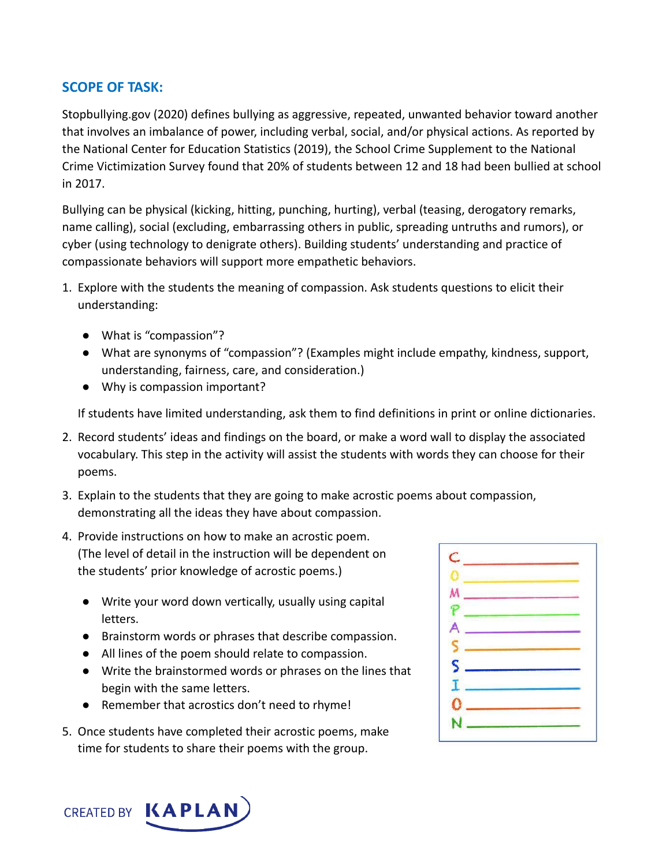## **SCOPE OF TASK:**

Stopbullying.gov (2020) defines bullying as aggressive, repeated, unwanted behavior toward another that involves an imbalance of power, including verbal, social, and/or physical actions. As reported by the National Center for Education Statistics (2019), the School Crime Supplement to the National Crime Victimization Survey found that 20% of students between 12 and 18 had been bullied at school in 2017.

Bullying can be physical (kicking, hitting, punching, hurting), verbal (teasing, derogatory remarks, name calling), social (excluding, embarrassing others in public, spreading untruths and rumors), or cyber (using technology to denigrate others). Building students' understanding and practice of compassionate behaviors will support more empathetic behaviors.

- 1. Explore with the students the meaning of compassion. Ask students questions to elicit their understanding:
	- What is "compassion"?
	- What are synonyms of "compassion"? (Examples might include empathy, kindness, support, understanding, fairness, care, and consideration.)
	- Why is compassion important?

If students have limited understanding, ask them to find definitions in print or online dictionaries.

- 2. Record students' ideas and findings on the board, or make a word wall to display the associated vocabulary. This step in the activity will assist the students with words they can choose for their poems.
- 3. Explain to the students that they are going to make acrostic poems about compassion, demonstrating all the ideas they have about compassion.
- 4. Provide instructions on how to make an acrostic poem. (The level of detail in the instruction will be dependent on the students' prior knowledge of acrostic poems.)
	- Write your word down vertically, usually using capital letters.
	- Brainstorm words or phrases that describe compassion.
	- All lines of the poem should relate to compassion.
	- Write the brainstormed words or phrases on the lines that begin with the same letters.
	- Remember that acrostics don't need to rhyme!
- 5. Once students have completed their acrostic poems, make time for students to share their poems with the group.

| $\overline{\mathsf{S}}$ |  |
|-------------------------|--|
|                         |  |
|                         |  |
| ×                       |  |